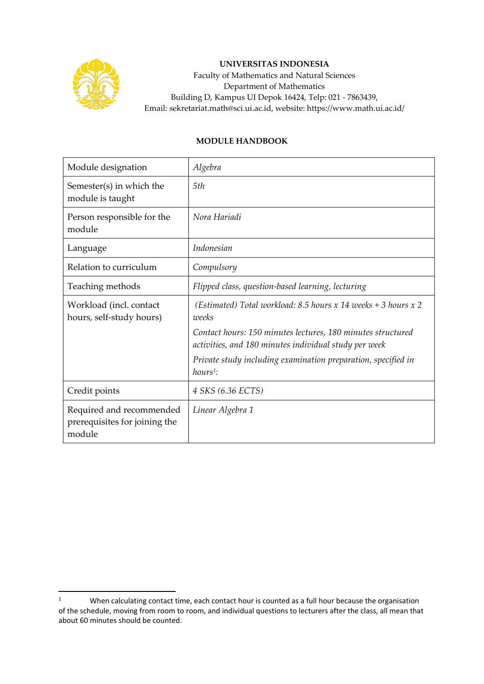

## **UNIVERSITAS INDONESIA**

Faculty of Mathematics and Natural Sciences Department of Mathematics Building D, Kampus UI Depok 16424, Telp: 021 - 7863439, Email: sekretariat.math@sci.ui.ac.id, website: https://www.math.ui.ac.id/

## **MODULE HANDBOOK**

| Module designation                                                  | Algebra                                                                                                              |
|---------------------------------------------------------------------|----------------------------------------------------------------------------------------------------------------------|
| Semester(s) in which the<br>module is taught                        | 5th                                                                                                                  |
| Person responsible for the<br>module                                | Nora Hariadi                                                                                                         |
| Language                                                            | Indonesian                                                                                                           |
| Relation to curriculum                                              | Compulsory                                                                                                           |
| Teaching methods                                                    | Flipped class, question-based learning, lecturing                                                                    |
| Workload (incl. contact<br>hours, self-study hours)                 | (Estimated) Total workload: 8.5 hours x 14 weeks + 3 hours x 2<br>weeks                                              |
|                                                                     | Contact hours: 150 minutes lectures, 180 minutes structured<br>activities, and 180 minutes individual study per week |
|                                                                     | Private study including examination preparation, specified in<br>$hours1$ :                                          |
| Credit points                                                       | 4 SKS (6.36 ECTS)                                                                                                    |
| Required and recommended<br>prerequisites for joining the<br>module | Linear Algebra 1                                                                                                     |

<sup>&</sup>lt;sup>1</sup> When calculating contact time, each contact hour is counted as a full hour because the organisation of the schedule, moving from room to room, and individual questions to lecturers after the class, all mean that about 60 minutes should be counted.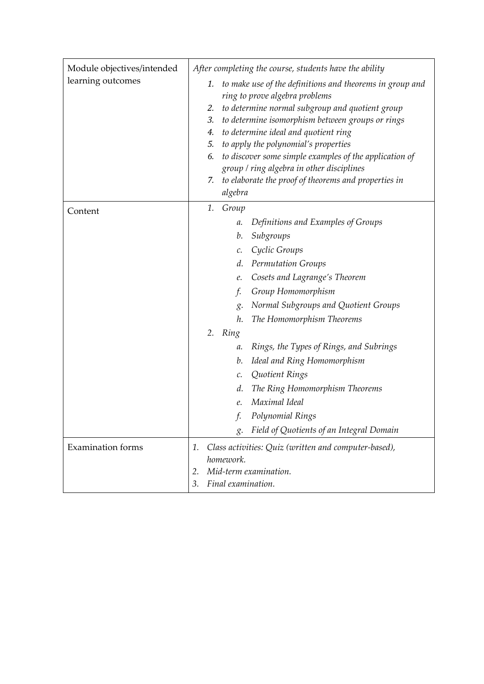| Module objectives/intended<br>learning outcomes | After completing the course, students have the ability                                                    |
|-------------------------------------------------|-----------------------------------------------------------------------------------------------------------|
|                                                 | to make use of the definitions and theorems in group and<br>1.                                            |
|                                                 | ring to prove algebra problems                                                                            |
|                                                 | to determine normal subgroup and quotient group<br>2.                                                     |
|                                                 | to determine isomorphism between groups or rings<br>3.                                                    |
|                                                 | to determine ideal and quotient ring<br>4.                                                                |
|                                                 | to apply the polynomial's properties<br>5.                                                                |
|                                                 | to discover some simple examples of the application of<br>6.<br>group / ring algebra in other disciplines |
|                                                 | to elaborate the proof of theorems and properties in<br>7.                                                |
|                                                 | algebra                                                                                                   |
| Content                                         | 1.<br>Group                                                                                               |
|                                                 | Definitions and Examples of Groups<br>$a$ .                                                               |
|                                                 | Subgroups<br>b.                                                                                           |
|                                                 | Cyclic Groups<br>c.                                                                                       |
|                                                 | <b>Permutation Groups</b><br>d.                                                                           |
|                                                 | Cosets and Lagrange's Theorem<br>e.                                                                       |
|                                                 | f.<br>Group Homomorphism                                                                                  |
|                                                 | Normal Subgroups and Quotient Groups<br>$\mathcal{Q}$ .                                                   |
|                                                 | The Homomorphism Theorems<br>h.                                                                           |
|                                                 | 2. Ring                                                                                                   |
|                                                 | Rings, the Types of Rings, and Subrings<br>$a$ .                                                          |
|                                                 | Ideal and Ring Homomorphism<br>b.                                                                         |
|                                                 | Quotient Rings<br>$\mathcal{C}$ .                                                                         |
|                                                 | The Ring Homomorphism Theorems<br>d.                                                                      |
|                                                 | Maximal Ideal<br>e.                                                                                       |
|                                                 | Polynomial Rings<br>f.                                                                                    |
|                                                 | Field of Quotients of an Integral Domain<br>$\mathcal{S}$ .                                               |
| <b>Examination</b> forms                        | Class activities: Quiz (written and computer-based),<br>1.                                                |
|                                                 | homework.                                                                                                 |
|                                                 | Mid-term examination.<br>2.                                                                               |
|                                                 | Final examination.<br>3.                                                                                  |